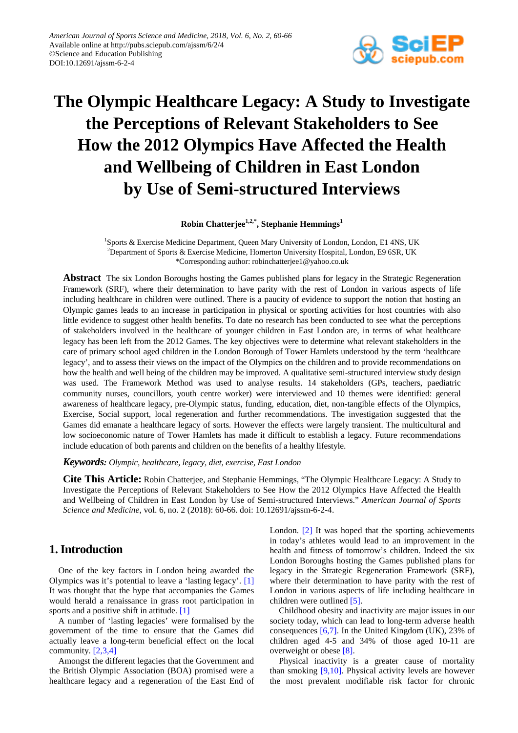

# **The Olympic Healthcare Legacy: A Study to Investigate the Perceptions of Relevant Stakeholders to See How the 2012 Olympics Have Affected the Health and Wellbeing of Children in East London by Use of Semi-structured Interviews**

**Robin Chatterjee1,2,\* , Stephanie Hemmings1**

<sup>1</sup>Sports & Exercise Medicine Department, Queen Mary University of London, London, E1 4NS, UK <sup>2</sup>Department of Sports & Exercise Medicine, Homerton University Hospital, London, E9 6SR, UK \*Corresponding author: robinchatterjee1@yahoo.co.uk

**Abstract** The six London Boroughs hosting the Games published plans for legacy in the Strategic Regeneration Framework (SRF), where their determination to have parity with the rest of London in various aspects of life including healthcare in children were outlined. There is a paucity of evidence to support the notion that hosting an Olympic games leads to an increase in participation in physical or sporting activities for host countries with also little evidence to suggest other health benefits. To date no research has been conducted to see what the perceptions of stakeholders involved in the healthcare of younger children in East London are, in terms of what healthcare legacy has been left from the 2012 Games. The key objectives were to determine what relevant stakeholders in the care of primary school aged children in the London Borough of Tower Hamlets understood by the term 'healthcare legacy', and to assess their views on the impact of the Olympics on the children and to provide recommendations on how the health and well being of the children may be improved. A qualitative semi-structured interview study design was used. The Framework Method was used to analyse results. 14 stakeholders (GPs, teachers, paediatric community nurses, councillors, youth centre worker) were interviewed and 10 themes were identified: general awareness of healthcare legacy, pre-Olympic status, funding, education, diet, non-tangible effects of the Olympics, Exercise, Social support, local regeneration and further recommendations. The investigation suggested that the Games did emanate a healthcare legacy of sorts. However the effects were largely transient. The multicultural and low socioeconomic nature of Tower Hamlets has made it difficult to establish a legacy. Future recommendations include education of both parents and children on the benefits of a healthy lifestyle.

*Keywords: Olympic, healthcare, legacy, diet, exercise, East London*

**Cite This Article:** Robin Chatterjee, and Stephanie Hemmings, "The Olympic Healthcare Legacy: A Study to Investigate the Perceptions of Relevant Stakeholders to See How the 2012 Olympics Have Affected the Health and Wellbeing of Children in East London by Use of Semi-structured Interviews." *American Journal of Sports Science and Medicine*, vol. 6, no. 2 (2018): 60-66. doi: 10.12691/ajssm-6-2-4.

# **1. Introduction**

One of the key factors in London being awarded the Olympics was it's potential to leave a 'lasting legacy'. [\[1\]](#page-6-0) It was thought that the hype that accompanies the Games would herald a renaissance in grass root participation in sports and a positive shift in attitude. [\[1\]](#page-6-0)

A number of 'lasting legacies' were formalised by the government of the time to ensure that the Games did actually leave a long-term beneficial effect on the local community. [\[2,3,4\]](#page-6-1)

Amongst the different legacies that the Government and the British Olympic Association (BOA) promised were a healthcare legacy and a regeneration of the East End of London. [\[2\]](#page-6-1) It was hoped that the sporting achievements in today's athletes would lead to an improvement in the health and fitness of tomorrow's children. Indeed the six London Boroughs hosting the Games published plans for legacy in the Strategic Regeneration Framework (SRF), where their determination to have parity with the rest of London in various aspects of life including healthcare in children were outlined [\[5\].](#page-6-2)

Childhood obesity and inactivity are major issues in our society today, which can lead to long-term adverse health consequences  $[6,7]$ . In the United Kingdom (UK), 23% of children aged 4-5 and 34% of those aged 10-11 are overweight or obese [\[8\].](#page-6-4)

Physical inactivity is a greater cause of mortality than smoking [\[9,10\].](#page-6-5) Physical activity levels are however the most prevalent modifiable risk factor for chronic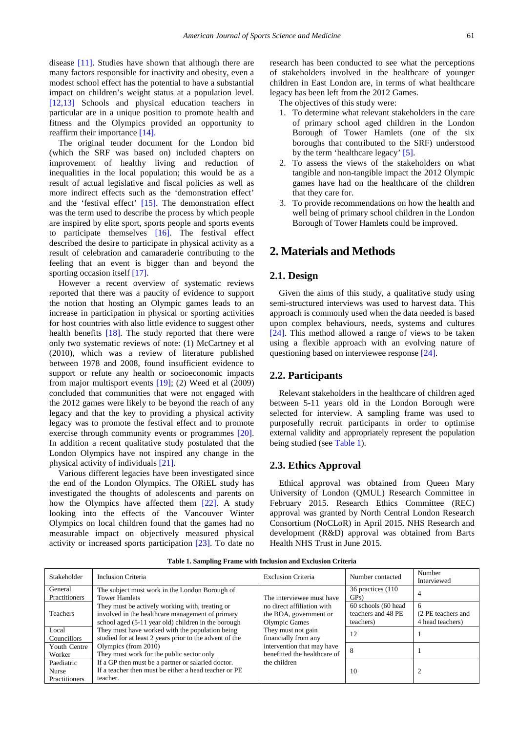disease [\[11\].](#page-6-6) Studies have shown that although there are many factors responsible for inactivity and obesity, even a modest school effect has the potential to have a substantial impact on children's weight status at a population level. [\[12,13\]](#page-6-7) Schools and physical education teachers in particular are in a unique position to promote health and fitness and the Olympics provided an opportunity to reaffirm their importance [\[14\].](#page-6-8)

The original tender document for the London bid (which the SRF was based on) included chapters on improvement of healthy living and reduction of inequalities in the local population; this would be as a result of actual legislative and fiscal policies as well as more indirect effects such as the 'demonstration effect' and the 'festival effect' [\[15\].](#page-6-9) The demonstration effect was the term used to describe the process by which people are inspired by elite sport, sports people and sports events to participate themselves [\[16\].](#page-6-10) The festival effect described the desire to participate in physical activity as a result of celebration and camaraderie contributing to the feeling that an event is bigger than and beyond the sporting occasion itself [\[17\].](#page-6-11)

However a recent overview of systematic reviews reported that there was a paucity of evidence to support the notion that hosting an Olympic games leads to an increase in participation in physical or sporting activities for host countries with also little evidence to suggest other health benefits [\[18\].](#page-6-12) The study reported that there were only two systematic reviews of note: (1) McCartney et al (2010), which was a review of literature published between 1978 and 2008, found insufficient evidence to support or refute any health or socioeconomic impacts from major multisport events [\[19\];](#page-6-13) (2) Weed et al (2009) concluded that communities that were not engaged with the 2012 games were likely to be beyond the reach of any legacy and that the key to providing a physical activity legacy was to promote the festival effect and to promote exercise through community events or programmes [\[20\].](#page-6-14) In addition a recent qualitative study postulated that the London Olympics have not inspired any change in the physical activity of individuals [\[21\].](#page-6-15)

Various different legacies have been investigated since the end of the London Olympics. The ORiEL study has investigated the thoughts of adolescents and parents on how the Olympics have affected them [\[22\].](#page-6-16) A study looking into the effects of the Vancouver Winter Olympics on local children found that the games had no measurable impact on objectively measured physical activity or increased sports participation [\[23\].](#page-6-17) To date no research has been conducted to see what the perceptions of stakeholders involved in the healthcare of younger children in East London are, in terms of what healthcare legacy has been left from the 2012 Games.

The objectives of this study were:

- 1. To determine what relevant stakeholders in the care of primary school aged children in the London Borough of Tower Hamlets (one of the six boroughs that contributed to the SRF) understood by the term 'healthcare legacy' [\[5\].](#page-6-2)
- 2. To assess the views of the stakeholders on what tangible and non-tangible impact the 2012 Olympic games have had on the healthcare of the children that they care for.
- 3. To provide recommendations on how the health and well being of primary school children in the London Borough of Tower Hamlets could be improved.

## **2. Materials and Methods**

## **2.1. Design**

Given the aims of this study, a qualitative study using semi-structured interviews was used to harvest data. This approach is commonly used when the data needed is based upon complex behaviours, needs, systems and cultures [\[24\].](#page-6-18) This method allowed a range of views to be taken using a flexible approach with an evolving nature of questioning based on interviewee response [\[24\].](#page-6-18)

#### **2.2. Participants**

Relevant stakeholders in the healthcare of children aged between 5-11 years old in the London Borough were selected for interview. A sampling frame was used to purposefully recruit participants in order to optimise external validity and appropriately represent the population being studied (see [Table 1\)](#page-1-0).

#### **2.3. Ethics Approval**

Ethical approval was obtained from Queen Mary University of London (QMUL) Research Committee in February 2015. Research Ethics Committee (REC) approval was granted by North Central London Research Consortium (NoCLoR) in April 2015. NHS Research and development (R&D) approval was obtained from Barts Health NHS Trust in June 2015.

<span id="page-1-0"></span>

| Stakeholder                                 | Inclusion Criteria                                                                                                                                         | <b>Exclusion Criteria</b>                                                    | Number contacted                                       | Number<br>Interviewed                       |
|---------------------------------------------|------------------------------------------------------------------------------------------------------------------------------------------------------------|------------------------------------------------------------------------------|--------------------------------------------------------|---------------------------------------------|
| General<br>Practitioners                    | The subject must work in the London Borough of<br><b>Tower Hamlets</b>                                                                                     | The interviewee must have                                                    | 36 practices (110)<br>GP <sub>s</sub> )                | 4                                           |
| Teachers                                    | They must be actively working with, treating or<br>involved in the healthcare management of primary<br>school aged (5-11 year old) children in the borough | no direct affiliation with<br>the BOA, government or<br><b>Olympic Games</b> | 60 schools (60 head<br>teachers and 48 PE<br>teachers) | 6<br>(2 PE teachers and<br>4 head teachers) |
| Local<br>Councillors                        | They must have worked with the population being<br>studied for at least 2 years prior to the advent of the                                                 | They must not gain<br>financially from any                                   | 12                                                     |                                             |
| Youth Centre<br>Worker                      | Olympics (from 2010)<br>They must work for the public sector only                                                                                          | intervention that may have<br>benefitted the healthcare of                   |                                                        |                                             |
| Paediatric<br><b>Nurse</b><br>Practitioners | If a GP then must be a partner or salaried doctor.<br>If a teacher then must be either a head teacher or PE<br>teacher.                                    | the children                                                                 | 10                                                     |                                             |

**Table 1. Sampling Frame with Inclusion and Exclusion Criteria**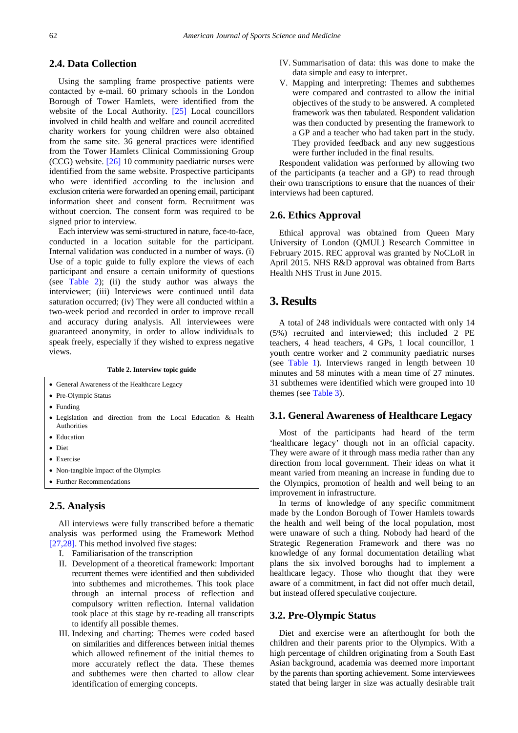#### **2.4. Data Collection**

Using the sampling frame prospective patients were contacted by e-mail. 60 primary schools in the London Borough of Tower Hamlets, were identified from the website of the Local Authority. [\[25\]](#page-6-19) Local councillors involved in child health and welfare and council accredited charity workers for young children were also obtained from the same site. 36 general practices were identified from the Tower Hamlets Clinical Commissioning Group (CCG) website. [\[26\]](#page-6-20) 10 community paediatric nurses were identified from the same website. Prospective participants who were identified according to the inclusion and exclusion criteria were forwarded an opening email, participant information sheet and consent form. Recruitment was without coercion. The consent form was required to be signed prior to interview.

Each interview was semi-structured in nature, face-to-face, conducted in a location suitable for the participant. Internal validation was conducted in a number of ways. (i) Use of a topic guide to fully explore the views of each participant and ensure a certain uniformity of questions (see [Table 2\)](#page-2-0); (ii) the study author was always the interviewer; (iii) Interviews were continued until data saturation occurred; (iv) They were all conducted within a two-week period and recorded in order to improve recall and accuracy during analysis. All interviewees were guaranteed anonymity, in order to allow individuals to speak freely, especially if they wished to express negative views.

<span id="page-2-0"></span>

| Table 2. Interview topic guide               |  |  |  |  |  |                                                               |  |
|----------------------------------------------|--|--|--|--|--|---------------------------------------------------------------|--|
| • General Awareness of the Healthcare Legacy |  |  |  |  |  |                                                               |  |
| • Pre-Olympic Status                         |  |  |  |  |  |                                                               |  |
| $\bullet$ Funding                            |  |  |  |  |  |                                                               |  |
| Authorities                                  |  |  |  |  |  | • Legislation and direction from the Local Education & Health |  |
| $\mathbf{r}$ $\mathbf{r}$                    |  |  |  |  |  |                                                               |  |

- Autho • Education
- Diet

- Exercise
- Non-tangible Impact of the Olympics
- Further Recommendations

#### **2.5. Analysis**

All interviews were fully transcribed before a thematic analysis was performed using the Framework Method [\[27,28\].](#page-6-21) This method involved five stages:

- I. Familiarisation of the transcription
- II. Development of a theoretical framework: Important recurrent themes were identified and then subdivided into subthemes and microthemes. This took place through an internal process of reflection and compulsory written reflection. Internal validation took place at this stage by re-reading all transcripts to identify all possible themes.
- III. Indexing and charting: Themes were coded based on similarities and differences between initial themes which allowed refinement of the initial themes to more accurately reflect the data. These themes and subthemes were then charted to allow clear identification of emerging concepts.
- IV. Summarisation of data: this was done to make the data simple and easy to interpret.
- V. Mapping and interpreting: Themes and subthemes were compared and contrasted to allow the initial objectives of the study to be answered. A completed framework was then tabulated. Respondent validation was then conducted by presenting the framework to a GP and a teacher who had taken part in the study. They provided feedback and any new suggestions were further included in the final results.

Respondent validation was performed by allowing two of the participants (a teacher and a GP) to read through their own transcriptions to ensure that the nuances of their interviews had been captured.

#### **2.6. Ethics Approval**

Ethical approval was obtained from Queen Mary University of London (QMUL) Research Committee in February 2015. REC approval was granted by NoCLoR in April 2015. NHS R&D approval was obtained from Barts Health NHS Trust in June 2015.

# **3. Results**

A total of 248 individuals were contacted with only 14 (5%) recruited and interviewed; this included 2 PE teachers, 4 head teachers, 4 GPs, 1 local councillor, 1 youth centre worker and 2 community paediatric nurses (see [Table 1\)](#page-1-0). Interviews ranged in length between 10 minutes and 58 minutes with a mean time of 27 minutes. 31 subthemes were identified which were grouped into 10 themes (see [Table 3\)](#page-3-0).

## **3.1. General Awareness of Healthcare Legacy**

Most of the participants had heard of the term 'healthcare legacy' though not in an official capacity. They were aware of it through mass media rather than any direction from local government. Their ideas on what it meant varied from meaning an increase in funding due to the Olympics, promotion of health and well being to an improvement in infrastructure.

In terms of knowledge of any specific commitment made by the London Borough of Tower Hamlets towards the health and well being of the local population, most were unaware of such a thing. Nobody had heard of the Strategic Regeneration Framework and there was no knowledge of any formal documentation detailing what plans the six involved boroughs had to implement a healthcare legacy. Those who thought that they were aware of a commitment, in fact did not offer much detail, but instead offered speculative conjecture.

## **3.2. Pre-Olympic Status**

Diet and exercise were an afterthought for both the children and their parents prior to the Olympics. With a high percentage of children originating from a South East Asian background, academia was deemed more important by the parents than sporting achievement. Some interviewees stated that being larger in size was actually desirable trait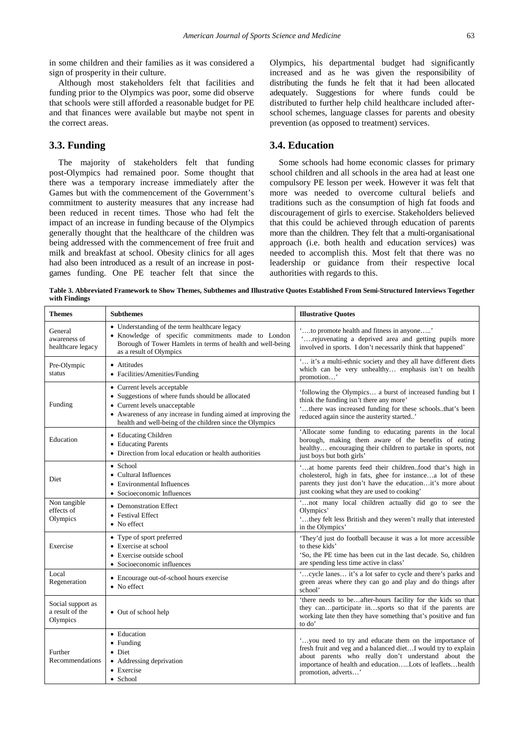in some children and their families as it was considered a sign of prosperity in their culture.

Although most stakeholders felt that facilities and funding prior to the Olympics was poor, some did observe that schools were still afforded a reasonable budget for PE and that finances were available but maybe not spent in the correct areas.

## **3.3. Funding**

The majority of stakeholders felt that funding post-Olympics had remained poor. Some thought that there was a temporary increase immediately after the Games but with the commencement of the Government's commitment to austerity measures that any increase had been reduced in recent times. Those who had felt the impact of an increase in funding because of the Olympics generally thought that the healthcare of the children was being addressed with the commencement of free fruit and milk and breakfast at school. Obesity clinics for all ages had also been introduced as a result of an increase in postgames funding. One PE teacher felt that since the Olympics, his departmental budget had significantly increased and as he was given the responsibility of distributing the funds he felt that it had been allocated adequately. Suggestions for where funds could be distributed to further help child healthcare included afterschool schemes, language classes for parents and obesity prevention (as opposed to treatment) services.

## **3.4. Education**

Some schools had home economic classes for primary school children and all schools in the area had at least one compulsory PE lesson per week. However it was felt that more was needed to overcome cultural beliefs and traditions such as the consumption of high fat foods and discouragement of girls to exercise. Stakeholders believed that this could be achieved through education of parents more than the children. They felt that a multi-organisational approach (i.e. both health and education services) was needed to accomplish this. Most felt that there was no leadership or guidance from their respective local authorities with regards to this.

**Table 3. Abbreviated Framework to Show Themes, Subthemes and Illustrative Quotes Established From Semi-Structured Interviews Together with Findings**

<span id="page-3-0"></span>

| <b>Themes</b>                                    | <b>Subthemes</b>                                                                                                                                                                                                                              | <b>Illustrative Quotes</b>                                                                                                                                                                                                                                        |
|--------------------------------------------------|-----------------------------------------------------------------------------------------------------------------------------------------------------------------------------------------------------------------------------------------------|-------------------------------------------------------------------------------------------------------------------------------------------------------------------------------------------------------------------------------------------------------------------|
| General<br>awareness of<br>healthcare legacy     | • Understanding of the term healthcare legacy<br>· Knowledge of specific commitments made to London<br>Borough of Tower Hamlets in terms of health and well-being<br>as a result of Olympics                                                  | to promote health and fitness in anyone'<br>rejuvenating a deprived area and getting pupils more<br>involved in sports. I don't necessarily think that happened'                                                                                                  |
| Pre-Olympic<br>status                            | • Attitudes<br>• Facilities/Amenities/Funding                                                                                                                                                                                                 | ' it's a multi-ethnic society and they all have different diets<br>which can be very unhealthy emphasis isn't on health<br>promotion'                                                                                                                             |
| Funding                                          | • Current levels acceptable<br>• Suggestions of where funds should be allocated<br>• Current levels unacceptable<br>• Awareness of any increase in funding aimed at improving the<br>health and well-being of the children since the Olympics | 'following the Olympics a burst of increased funding but I<br>think the funding isn't there any more'<br>'there was increased funding for these schoolsthat's been<br>reduced again since the austerity started'                                                  |
| Education                                        | • Educating Children<br>• Educating Parents<br>• Direction from local education or health authorities                                                                                                                                         | 'Allocate some funding to educating parents in the local<br>borough, making them aware of the benefits of eating<br>healthy encouraging their children to partake in sports, not<br>just boys but both girls'                                                     |
| Diet                                             | • School<br>• Cultural Influences<br>• Environmental Influences<br>• Socioeconomic Influences                                                                                                                                                 | 'at home parents feed their childrenfood that's high in<br>cholesterol, high in fats, ghee for instancea lot of these<br>parents they just don't have the educationit's more about<br>just cooking what they are used to cooking'                                 |
| Non tangible<br>effects of<br>Olympics           | • Demonstration Effect<br>• Festival Effect<br>• No effect                                                                                                                                                                                    | 'not many local children actually did go to see the<br>Olympics'<br>'they felt less British and they weren't really that interested<br>in the Olympics'                                                                                                           |
| Exercise                                         | • Type of sport preferred<br>• Exercise at school<br>• Exercise outside school<br>• Socioeconomic influences                                                                                                                                  | 'They'd just do football because it was a lot more accessible<br>to these kids'<br>'So, the PE time has been cut in the last decade. So, children<br>are spending less time active in class'                                                                      |
| Local<br>Regeneration                            | • Encourage out-of-school hours exercise<br>• No effect                                                                                                                                                                                       | 'cycle lanes it's a lot safer to cycle and there's parks and<br>green areas where they can go and play and do things after<br>school'                                                                                                                             |
| Social support as<br>a result of the<br>Olympics | • Out of school help                                                                                                                                                                                                                          | 'there needs to beafter-hours facility for the kids so that<br>they canparticipate insports so that if the parents are<br>working late then they have something that's positive and fun<br>to do'                                                                 |
| Further<br>Recommendations                       | • Education<br>• Funding<br>• Diet<br>• Addressing deprivation<br>• Exercise<br>• School                                                                                                                                                      | "you need to try and educate them on the importance of<br>fresh fruit and veg and a balanced dietI would try to explain<br>about parents who really don't understand about the<br>importance of health and educationLots of leafletshealth<br>promotion, adverts' |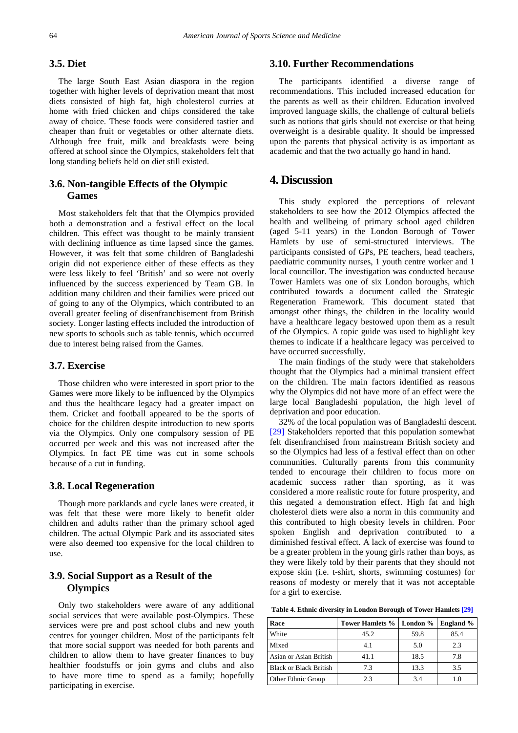### **3.5. Diet**

The large South East Asian diaspora in the region together with higher levels of deprivation meant that most diets consisted of high fat, high cholesterol curries at home with fried chicken and chips considered the take away of choice. These foods were considered tastier and cheaper than fruit or vegetables or other alternate diets. Although free fruit, milk and breakfasts were being offered at school since the Olympics, stakeholders felt that long standing beliefs held on diet still existed.

## **3.6. Non-tangible Effects of the Olympic Games**

Most stakeholders felt that that the Olympics provided both a demonstration and a festival effect on the local children. This effect was thought to be mainly transient with declining influence as time lapsed since the games. However, it was felt that some children of Bangladeshi origin did not experience either of these effects as they were less likely to feel 'British' and so were not overly influenced by the success experienced by Team GB. In addition many children and their families were priced out of going to any of the Olympics, which contributed to an overall greater feeling of disenfranchisement from British society. Longer lasting effects included the introduction of new sports to schools such as table tennis, which occurred due to interest being raised from the Games.

#### **3.7. Exercise**

Those children who were interested in sport prior to the Games were more likely to be influenced by the Olympics and thus the healthcare legacy had a greater impact on them. Cricket and football appeared to be the sports of choice for the children despite introduction to new sports via the Olympics. Only one compulsory session of PE occurred per week and this was not increased after the Olympics. In fact PE time was cut in some schools because of a cut in funding.

#### **3.8. Local Regeneration**

Though more parklands and cycle lanes were created, it was felt that these were more likely to benefit older children and adults rather than the primary school aged children. The actual Olympic Park and its associated sites were also deemed too expensive for the local children to use.

## **3.9. Social Support as a Result of the Olympics**

Only two stakeholders were aware of any additional social services that were available post-Olympics. These services were pre and post school clubs and new youth centres for younger children. Most of the participants felt that more social support was needed for both parents and children to allow them to have greater finances to buy healthier foodstuffs or join gyms and clubs and also to have more time to spend as a family; hopefully participating in exercise.

## **3.10. Further Recommendations**

The participants identified a diverse range of recommendations. This included increased education for the parents as well as their children. Education involved improved language skills, the challenge of cultural beliefs such as notions that girls should not exercise or that being overweight is a desirable quality. It should be impressed upon the parents that physical activity is as important as academic and that the two actually go hand in hand.

# **4. Discussion**

This study explored the perceptions of relevant stakeholders to see how the 2012 Olympics affected the health and wellbeing of primary school aged children (aged 5-11 years) in the London Borough of Tower Hamlets by use of semi-structured interviews. The participants consisted of GPs, PE teachers, head teachers, paediatric community nurses, 1 youth centre worker and 1 local councillor. The investigation was conducted because Tower Hamlets was one of six London boroughs, which contributed towards a document called the Strategic Regeneration Framework. This document stated that amongst other things, the children in the locality would have a healthcare legacy bestowed upon them as a result of the Olympics. A topic guide was used to highlight key themes to indicate if a healthcare legacy was perceived to have occurred successfully.

The main findings of the study were that stakeholders thought that the Olympics had a minimal transient effect on the children. The main factors identified as reasons why the Olympics did not have more of an effect were the large local Bangladeshi population, the high level of deprivation and poor education.

32% of the local population was of Bangladeshi descent. [\[29\]](#page-6-22) Stakeholders reported that this population somewhat felt disenfranchised from mainstream British society and so the Olympics had less of a festival effect than on other communities. Culturally parents from this community tended to encourage their children to focus more on academic success rather than sporting, as it was considered a more realistic route for future prosperity, and this negated a demonstration effect. High fat and high cholesterol diets were also a norm in this community and this contributed to high obesity levels in children. Poor spoken English and deprivation contributed to a diminished festival effect. A lack of exercise was found to be a greater problem in the young girls rather than boys, as they were likely told by their parents that they should not expose skin (i.e. t-shirt, shorts, swimming costumes) for reasons of modesty or merely that it was not acceptable for a girl to exercise.

**Table 4. Ethnic diversity in London Borough of Tower Hamlets [\[29\]](#page-6-22)**

| Race                          | Tower Hamlets % | London $%$ | <b>England</b> % |
|-------------------------------|-----------------|------------|------------------|
| White                         | 45.2            | 59.8       | 85.4             |
| Mixed                         | 4.1             | 5.0        | 2.3              |
| Asian or Asian British        | 41.1            | 18.5       | 7.8              |
| <b>Black or Black British</b> | 7.3             | 13.3       | 3.5              |
| Other Ethnic Group            | 2.3             | 3.4        | 1.0              |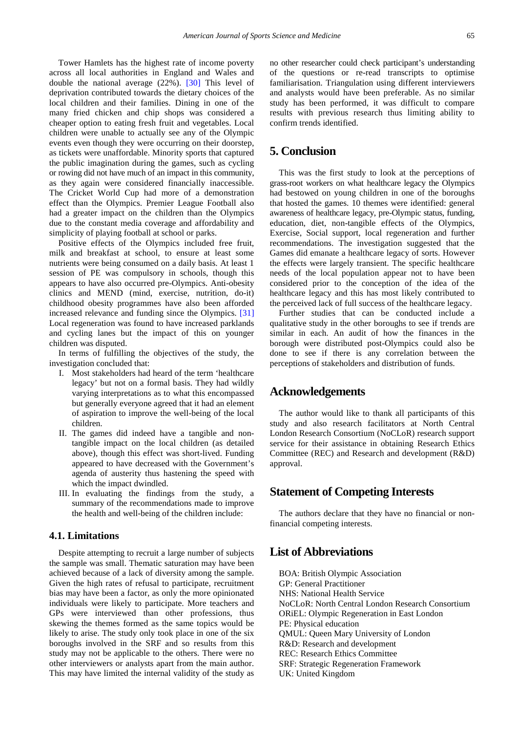Tower Hamlets has the highest rate of income poverty across all local authorities in England and Wales and double the national average (22%). [\[30\]](#page-6-23) This level of deprivation contributed towards the dietary choices of the local children and their families. Dining in one of the many fried chicken and chip shops was considered a cheaper option to eating fresh fruit and vegetables. Local children were unable to actually see any of the Olympic events even though they were occurring on their doorstep, as tickets were unaffordable. Minority sports that captured the public imagination during the games, such as cycling or rowing did not have much of an impact in this community, as they again were considered financially inaccessible. The Cricket World Cup had more of a demonstration effect than the Olympics. Premier League Football also had a greater impact on the children than the Olympics due to the constant media coverage and affordability and simplicity of playing football at school or parks.

Positive effects of the Olympics included free fruit, milk and breakfast at school, to ensure at least some nutrients were being consumed on a daily basis. At least 1 session of PE was compulsory in schools, though this appears to have also occurred pre-Olympics. Anti-obesity clinics and MEND (mind, exercise, nutrition, do-it) childhood obesity programmes have also been afforded increased relevance and funding since the Olympics. [\[31\]](#page-6-24) Local regeneration was found to have increased parklands and cycling lanes but the impact of this on younger children was disputed.

In terms of fulfilling the objectives of the study, the investigation concluded that:

- I. Most stakeholders had heard of the term 'healthcare legacy' but not on a formal basis. They had wildly varying interpretations as to what this encompassed but generally everyone agreed that it had an element of aspiration to improve the well-being of the local children.
- II. The games did indeed have a tangible and nontangible impact on the local children (as detailed above), though this effect was short-lived. Funding appeared to have decreased with the Government's agenda of austerity thus hastening the speed with which the impact dwindled.
- III. In evaluating the findings from the study, a summary of the recommendations made to improve the health and well-being of the children include:

## **4.1. Limitations**

Despite attempting to recruit a large number of subjects the sample was small. Thematic saturation may have been achieved because of a lack of diversity among the sample. Given the high rates of refusal to participate, recruitment bias may have been a factor, as only the more opinionated individuals were likely to participate. More teachers and GPs were interviewed than other professions, thus skewing the themes formed as the same topics would be likely to arise. The study only took place in one of the six boroughs involved in the SRF and so results from this study may not be applicable to the others. There were no other interviewers or analysts apart from the main author. This may have limited the internal validity of the study as

no other researcher could check participant's understanding of the questions or re-read transcripts to optimise familiarisation. Triangulation using different interviewers and analysts would have been preferable. As no similar study has been performed, it was difficult to compare results with previous research thus limiting ability to confirm trends identified.

# **5. Conclusion**

This was the first study to look at the perceptions of grass-root workers on what healthcare legacy the Olympics had bestowed on young children in one of the boroughs that hosted the games. 10 themes were identified: general awareness of healthcare legacy, pre-Olympic status, funding, education, diet, non-tangible effects of the Olympics, Exercise, Social support, local regeneration and further recommendations. The investigation suggested that the Games did emanate a healthcare legacy of sorts. However the effects were largely transient. The specific healthcare needs of the local population appear not to have been considered prior to the conception of the idea of the healthcare legacy and this has most likely contributed to the perceived lack of full success of the healthcare legacy.

Further studies that can be conducted include a qualitative study in the other boroughs to see if trends are similar in each. An audit of how the finances in the borough were distributed post-Olympics could also be done to see if there is any correlation between the perceptions of stakeholders and distribution of funds.

## **Acknowledgements**

The author would like to thank all participants of this study and also research facilitators at North Central London Research Consortium (NoCLoR) research support service for their assistance in obtaining Research Ethics Committee (REC) and Research and development (R&D) approval.

## **Statement of Competing Interests**

The authors declare that they have no financial or nonfinancial competing interests.

# **List of Abbreviations**

BOA: British Olympic Association GP: General Practitioner NHS: National Health Service NoCLoR: North Central London Research Consortium ORiEL: Olympic Regeneration in East London PE: Physical education QMUL: Queen Mary University of London R&D: Research and development REC: Research Ethics Committee SRF: Strategic Regeneration Framework UK: United Kingdom